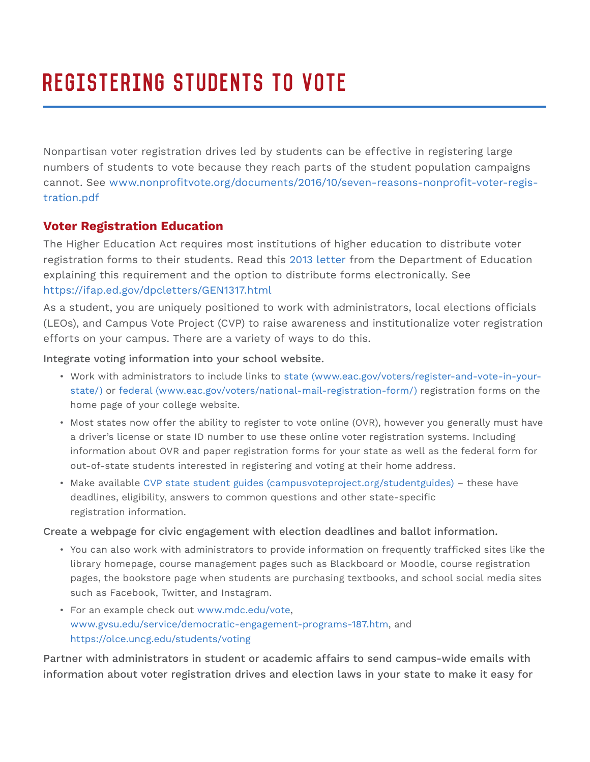# Registering Students to Vote

Nonpartisan voter registration drives led by students can be effective in registering large numbers of students to vote because they reach parts of the student population campaigns cannot. See www.nonprofitvote.org/documents/2016/10/seven-reasons-nonprofit-voter-registration.pdf

# **Voter Registration Education**

The Higher Education Act requires most institutions of higher education to distribute voter registration forms to their students. Read this 2013 letter from the Department of Education explaining this requirement and the option to distribute forms electronically. See https://ifap.ed.gov/dpcletters/GEN1317.html

As a student, you are uniquely positioned to work with administrators, local elections officials (LEOs), and Campus Vote Project (CVP) to raise awareness and institutionalize voter registration efforts on your campus. There are a variety of ways to do this.

Integrate voting information into your school website.

- Work with administrators to include links to state (www.eac.gov/voters/register-and-vote-in-yourstate/) or federal (www.eac.gov/voters/national-mail-registration-form/) registration forms on the home page of your college website.
- Most states now offer the ability to register to vote online (OVR), however you generally must have a driver's license or state ID number to use these online voter registration systems. Including information about OVR and paper registration forms for your state as well as the federal form for out-of-state students interested in registering and voting at their home address.
- Make available CVP state student guides (campusvoteproject.org/studentguides) these have deadlines, eligibility, answers to common questions and other state-specific registration information.

Create a webpage for civic engagement with election deadlines and ballot information.

- You can also work with administrators to provide information on frequently trafficked sites like the library homepage, course management pages such as Blackboard or Moodle, course registration pages, the bookstore page when students are purchasing textbooks, and school social media sites such as Facebook, Twitter, and Instagram.
- For an example check out www.mdc.edu/vote, www.gvsu.edu/service/democratic-engagement-programs-187.htm, and https://olce.uncg.edu/students/voting

Partner with administrators in student or academic affairs to send campus-wide emails with information about voter registration drives and election laws in your state to make it easy for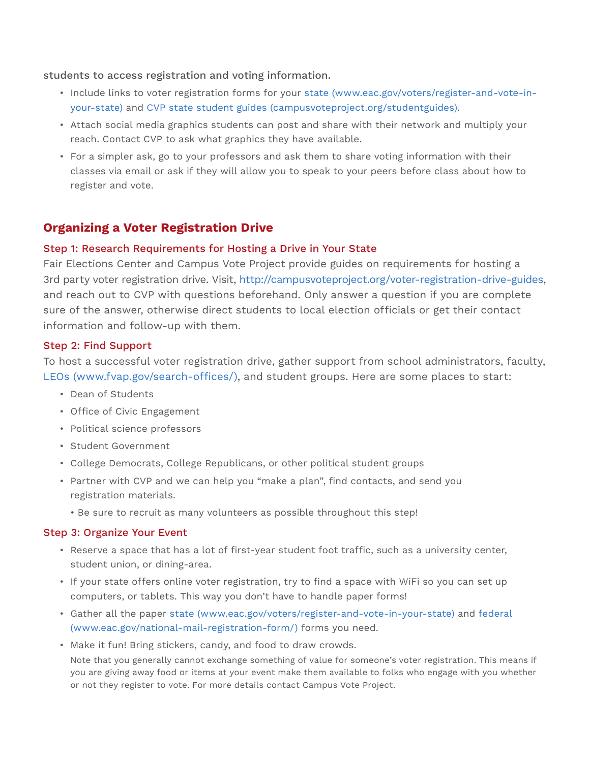students to access registration and voting information.

- Include links to voter registration forms for your state (www.eac.gov/voters/register-and-vote-inyour-state) and CVP state student guides (campusvoteproject.org/studentguides).
- Attach social media graphics students can post and share with their network and multiply your reach. Contact CVP to ask what graphics they have available.
- For a simpler ask, go to your professors and ask them to share voting information with their classes via email or ask if they will allow you to speak to your peers before class about how to register and vote.

## **Organizing a Voter Registration Drive**

#### Step 1: Research Requirements for Hosting a Drive in Your State

Fair Elections Center and Campus Vote Project provide guides on requirements for hosting a 3rd party voter registration drive. Visit, http://campusvoteproject.org/voter-registration-drive-guides, and reach out to CVP with questions beforehand. Only answer a question if you are complete sure of the answer, otherwise direct students to local election officials or get their contact information and follow-up with them.

#### Step 2: Find Support

To host a successful voter registration drive, gather support from school administrators, faculty, LEOs (www.fvap.gov/search-offices/), and student groups. Here are some places to start:

- Dean of Students
- Office of Civic Engagement
- Political science professors
- Student Government
- College Democrats, College Republicans, or other political student groups
- Partner with CVP and we can help you "make a plan", find contacts, and send you registration materials.
	- Be sure to recruit as many volunteers as possible throughout this step!

## Step 3: Organize Your Event

- Reserve a space that has a lot of first-year student foot traffic, such as a university center, student union, or dining-area.
- If your state offers online voter registration, try to find a space with WiFi so you can set up computers, or tablets. This way you don't have to handle paper forms!
- Gather all the paper state (www.eac.gov/voters/register-and-vote-in-your-state) and federal (www.eac.gov/national-mail-registration-form/) forms you need.
- Make it fun! Bring stickers, candy, and food to draw crowds.

 Note that you generally cannot exchange something of value for someone's voter registration. This means if you are giving away food or items at your event make them available to folks who engage with you whether or not they register to vote. For more details contact Campus Vote Project.